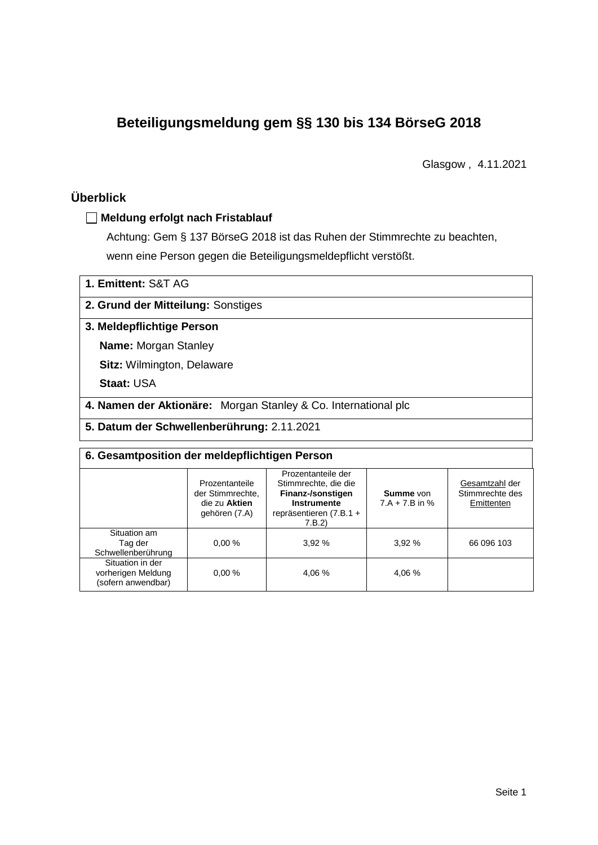# **Beteiligungsmeldung gem §§ 130 bis 134 BörseG 2018**

Glasgow , 4.11.2021

## **Überblick**

#### **Meldung erfolgt nach Fristablauf**

Achtung: Gem § 137 BörseG 2018 ist das Ruhen der Stimmrechte zu beachten, wenn eine Person gegen die Beteiligungsmeldepflicht verstößt.

#### **2. Grund der Mitteilung:** Sonstiges

#### **3. Meldepflichtige Person**

**Name:** Morgan Stanley

**Sitz:** Wilmington, Delaware

**Staat:** USA

**4. Namen der Aktionäre:** Morgan Stanley & Co. International plc

**5. Datum der Schwellenberührung:** 2.11.2021

| 6. Gesamtposition der meldepflichtigen Person                |                                                                      |                                                                                                                      |                                      |                                                 |  |  |  |
|--------------------------------------------------------------|----------------------------------------------------------------------|----------------------------------------------------------------------------------------------------------------------|--------------------------------------|-------------------------------------------------|--|--|--|
|                                                              | Prozentanteile<br>der Stimmrechte.<br>die zu Aktien<br>gehören (7.A) | Prozentanteile der<br>Stimmrechte, die die<br>Finanz-/sonstigen<br>Instrumente<br>repräsentieren $(7.B.1 +$<br>7.B.2 | <b>Summe</b> von<br>$7.A + 7.B$ in % | Gesamtzahl der<br>Stimmrechte des<br>Emittenten |  |  |  |
| Situation am<br>Tag der<br>Schwellenberührung                | 0.00%                                                                | 3.92%                                                                                                                | 3.92%                                | 66 096 103                                      |  |  |  |
| Situation in der<br>vorherigen Meldung<br>(sofern anwendbar) | 0.00%                                                                | 4.06 %                                                                                                               | 4,06 %                               |                                                 |  |  |  |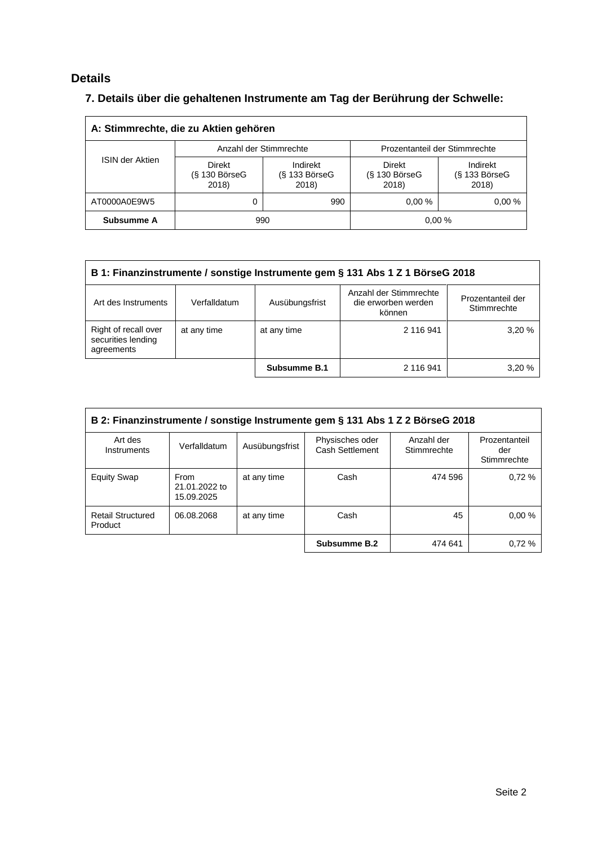# **Details**

# **7. Details über die gehaltenen Instrumente am Tag der Berührung der Schwelle:**

| A: Stimmrechte, die zu Aktien gehören |                                           |                                      |                                    |                                    |  |  |
|---------------------------------------|-------------------------------------------|--------------------------------------|------------------------------------|------------------------------------|--|--|
|                                       |                                           | Anzahl der Stimmrechte               | Prozentanteil der Stimmrechte      |                                    |  |  |
| <b>ISIN der Aktien</b>                | <b>Direkt</b><br>$(S$ 130 BörseG<br>2018) | Indirekt<br>$(S$ 133 BörseG<br>2018) | Direkt<br>$(S$ 130 BörseG<br>2018) | Indirekt<br>(§ 133 BörseG<br>2018) |  |  |
| AT0000A0E9W5                          |                                           | 990                                  | $0.00 \%$                          | 0.00%                              |  |  |
| Subsumme A                            | 990                                       |                                      |                                    | 0.00%                              |  |  |

| B 1: Finanzinstrumente / sonstige Instrumente gem § 131 Abs 1 Z 1 BörseG 2018                                                                        |             |                     |           |       |  |
|------------------------------------------------------------------------------------------------------------------------------------------------------|-------------|---------------------|-----------|-------|--|
| Anzahl der Stimmrechte<br>Prozentanteil der<br>Art des Instruments<br>Verfalldatum<br>Ausübungsfrist<br>die erworben werden<br>Stimmrechte<br>können |             |                     |           |       |  |
| Right of recall over<br>securities lending<br>agreements                                                                                             | at any time | at any time         | 2 116 941 | 3.20% |  |
|                                                                                                                                                      |             | <b>Subsumme B.1</b> | 2 116 941 | 3.20% |  |

| B 2: Finanzinstrumente / sonstige Instrumente gem § 131 Abs 1 Z 2 BörseG 2018 |                                     |                |                                    |                           |                                     |
|-------------------------------------------------------------------------------|-------------------------------------|----------------|------------------------------------|---------------------------|-------------------------------------|
| Art des<br>Instruments                                                        | Verfalldatum                        | Ausübungsfrist | Physisches oder<br>Cash Settlement | Anzahl der<br>Stimmrechte | Prozentanteil<br>der<br>Stimmrechte |
| <b>Equity Swap</b>                                                            | From<br>21.01.2022 to<br>15.09.2025 | at any time    | Cash                               | 474 596                   | 0.72%                               |
| <b>Retail Structured</b><br>Product                                           | 06.08.2068                          | at any time    | Cash                               | 45                        | 0.00%                               |
|                                                                               |                                     |                | Subsumme B.2                       | 474 641                   | 0.72%                               |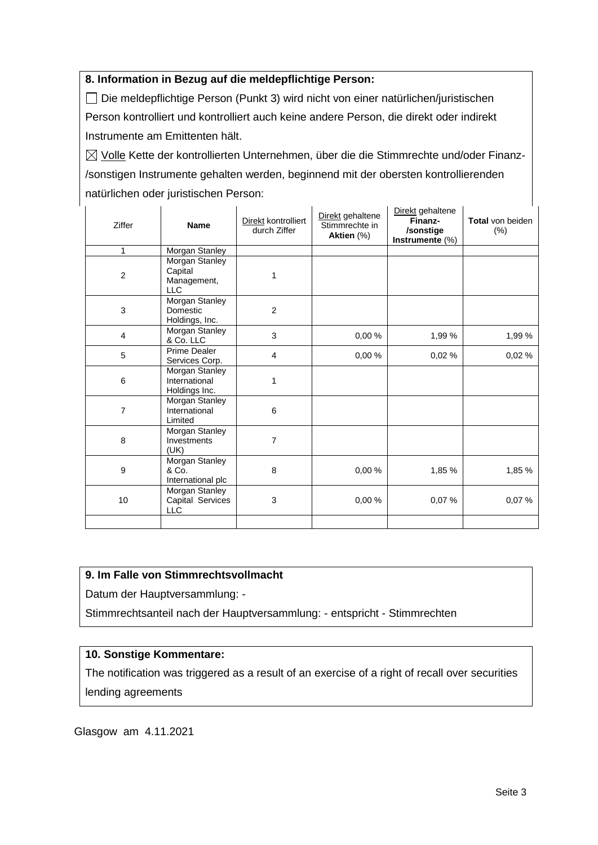### **8. Information in Bezug auf die meldepflichtige Person:**

Die meldepflichtige Person (Punkt 3) wird nicht von einer natürlichen/juristischen Person kontrolliert und kontrolliert auch keine andere Person, die direkt oder indirekt Instrumente am Emittenten hält.

 $\boxtimes$  Volle Kette der kontrollierten Unternehmen, über die die Stimmrechte und/oder Finanz-/sonstigen Instrumente gehalten werden, beginnend mit der obersten kontrollierenden natürlichen oder juristischen Person:

| Ziffer         | <b>Name</b>                                            | Direkt kontrolliert<br>durch Ziffer | Direkt gehaltene<br>Stimmrechte in<br>Aktien (%) | Direkt gehaltene<br>Finanz-<br>/sonstige<br>Instrumente (%) | Total von beiden<br>(%) |
|----------------|--------------------------------------------------------|-------------------------------------|--------------------------------------------------|-------------------------------------------------------------|-------------------------|
| 1              | Morgan Stanley                                         |                                     |                                                  |                                                             |                         |
| $\overline{c}$ | Morgan Stanley<br>Capital<br>Management,<br><b>LLC</b> | 1                                   |                                                  |                                                             |                         |
| 3              | Morgan Stanley<br>Domestic<br>Holdings, Inc.           | $\overline{2}$                      |                                                  |                                                             |                         |
| 4              | Morgan Stanley<br>& Co. LLC                            | 3                                   | 0,00 %                                           | 1,99 %                                                      | 1,99%                   |
| 5              | Prime Dealer<br>Services Corp.                         | $\overline{\mathbf{4}}$             | 0,00%                                            | 0,02%                                                       | 0,02%                   |
| 6              | Morgan Stanley<br>International<br>Holdings Inc.       | 1                                   |                                                  |                                                             |                         |
| $\overline{7}$ | Morgan Stanley<br>International<br>Limited             | 6                                   |                                                  |                                                             |                         |
| 8              | Morgan Stanley<br>Investments<br>(UK)                  | 7                                   |                                                  |                                                             |                         |
| 9              | <b>Morgan Stanley</b><br>& Co.<br>International plc    | 8                                   | 0,00%                                            | 1,85 %                                                      | 1,85 %                  |
| 10             | Morgan Stanley<br>Capital Services<br><b>LLC</b>       | 3                                   | 0,00 %                                           | 0,07%                                                       | 0.07%                   |
|                |                                                        |                                     |                                                  |                                                             |                         |

### **9. Im Falle von Stimmrechtsvollmacht**

Datum der Hauptversammlung: -

Stimmrechtsanteil nach der Hauptversammlung: - entspricht - Stimmrechten

### **10. Sonstige Kommentare:**

The notification was triggered as a result of an exercise of a right of recall over securities lending agreements

Glasgow am 4.11.2021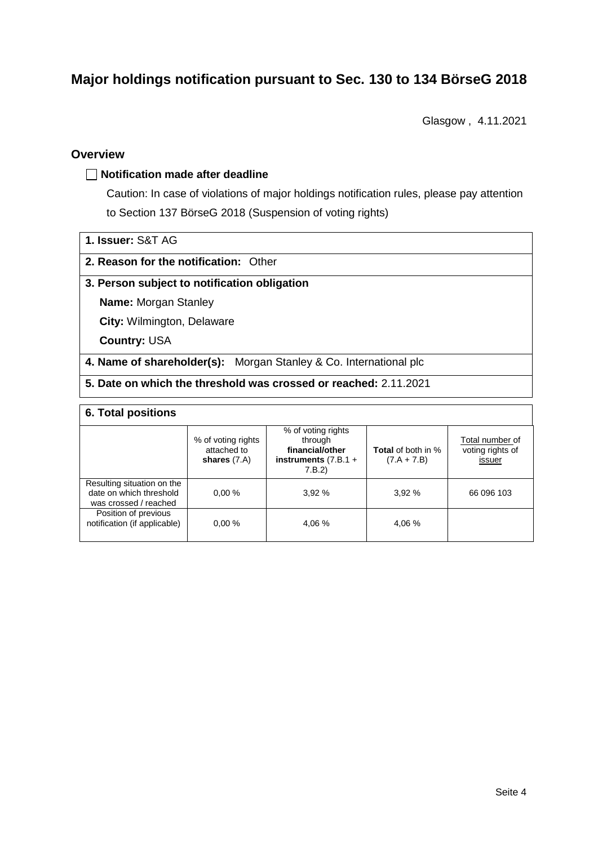# **Major holdings notification pursuant to Sec. 130 to 134 BörseG 2018**

Glasgow , 4.11.2021

#### **Overview**

#### **Notification made after deadline**

Caution: In case of violations of major holdings notification rules, please pay attention to Section 137 BörseG 2018 (Suspension of voting rights)

| 1. Issuer: S&T AG |  |
|-------------------|--|
|                   |  |

#### **2. Reason for the notification:** Other

#### **3. Person subject to notification obligation**

**Name:** Morgan Stanley

**City:** Wilmington, Delaware

**Country:** USA

**4. Name of shareholder(s):** Morgan Stanley & Co. International plc

**5. Date on which the threshold was crossed or reached:** 2.11.2021

#### **6. Total positions**

|                                                                                | % of voting rights<br>attached to<br>shares $(7.A)$ | % of voting rights<br>through<br>financial/other<br>instruments $(7.B.1 +$<br>7.B.2 | <b>Total</b> of both in %<br>$(7.A + 7.B)$ | Total number of<br>voting rights of<br>issuer |  |  |
|--------------------------------------------------------------------------------|-----------------------------------------------------|-------------------------------------------------------------------------------------|--------------------------------------------|-----------------------------------------------|--|--|
| Resulting situation on the<br>date on which threshold<br>was crossed / reached | 0.00%                                               | 3.92%                                                                               | 3.92%                                      | 66 096 103                                    |  |  |
| Position of previous<br>notification (if applicable)                           | 0.00%                                               | 4.06 %                                                                              | 4.06 %                                     |                                               |  |  |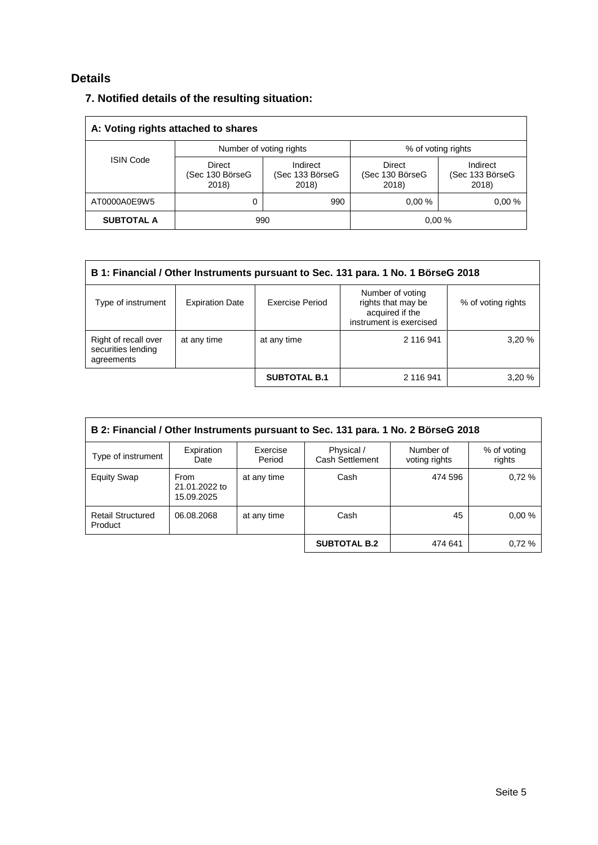## **Details**

## **7. Notified details of the resulting situation:**

| A: Voting rights attached to shares |                                    |                                      |                                    |                                      |  |
|-------------------------------------|------------------------------------|--------------------------------------|------------------------------------|--------------------------------------|--|
|                                     | Number of voting rights            |                                      | % of voting rights                 |                                      |  |
| <b>ISIN Code</b>                    | Direct<br>(Sec 130 BörseG<br>2018) | Indirect<br>(Sec 133 BörseG<br>2018) | Direct<br>(Sec 130 BörseG<br>2018) | Indirect<br>(Sec 133 BörseG<br>2018) |  |
| AT0000A0E9W5                        | 0                                  | 990                                  | 0.00%                              | 0.00%                                |  |
| <b>SUBTOTAL A</b>                   | 990                                |                                      |                                    | 0.00%                                |  |

| B 1: Financial / Other Instruments pursuant to Sec. 131 para. 1 No. 1 BörseG 2018                                                                                             |             |                     |           |       |  |  |
|-------------------------------------------------------------------------------------------------------------------------------------------------------------------------------|-------------|---------------------|-----------|-------|--|--|
| Number of voting<br>rights that may be<br>Type of instrument<br>Exercise Period<br><b>Expiration Date</b><br>% of voting rights<br>acquired if the<br>instrument is exercised |             |                     |           |       |  |  |
| Right of recall over<br>securities lending<br>agreements                                                                                                                      | at any time | at any time         | 2 116 941 | 3,20% |  |  |
|                                                                                                                                                                               |             | <b>SUBTOTAL B.1</b> | 2 116 941 | 3,20% |  |  |

| B 2: Financial / Other Instruments pursuant to Sec. 131 para. 1 No. 2 BörseG 2018 |                                     |                    |                               |                            |                       |
|-----------------------------------------------------------------------------------|-------------------------------------|--------------------|-------------------------------|----------------------------|-----------------------|
| Type of instrument                                                                | Expiration<br>Date                  | Exercise<br>Period | Physical /<br>Cash Settlement | Number of<br>voting rights | % of voting<br>rights |
| <b>Equity Swap</b>                                                                | From<br>21.01.2022 to<br>15.09.2025 | at any time        | Cash                          | 474 596                    | 0.72%                 |
| <b>Retail Structured</b><br>Product                                               | 06.08.2068                          | at any time        | Cash                          | 45                         | 0.00%                 |
|                                                                                   |                                     |                    | <b>SUBTOTAL B.2</b>           | 474 641                    | 0.72%                 |